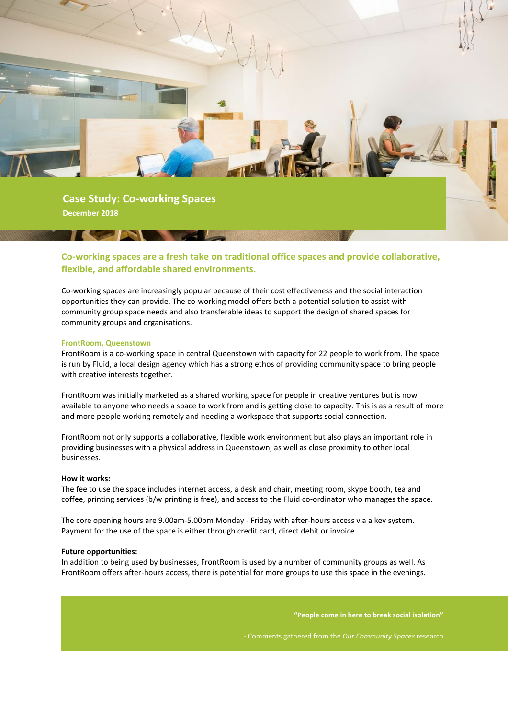

# **Co-working spaces are a fresh take on traditional office spaces and provide collaborative, flexible, and affordable shared environments.**

Co-working spaces are increasingly popular because of their cost effectiveness and the social interaction opportunities they can provide. The co-working model offers both a potential solution to assist with community group space needs and also transferable ideas to support the design of shared spaces for community groups and organisations.

## **FrontRoom, Queenstown**

FrontRoom is a co-working space in central Queenstown with capacity for 22 people to work from. The space is run by Fluid, a local design agency which has a strong ethos of providing community space to bring people with creative interests together.

FrontRoom was initially marketed as a shared working space for people in creative ventures but is now available to anyone who needs a space to work from and is getting close to capacity. This is as a result of more and more people working remotely and needing a workspace that supports social connection.

FrontRoom not only supports a collaborative, flexible work environment but also plays an important role in providing businesses with a physical address in Queenstown, as well as close proximity to other local businesses.

## **How it works:**

The fee to use the space includes internet access, a desk and chair, meeting room, skype booth, tea and coffee, printing services (b/w printing is free), and access to the Fluid co-ordinator who manages the space.

The core opening hours are 9.00am-5.00pm Monday - Friday with after-hours access via a key system. Payment for the use of the space is either through credit card, direct debit or invoice.

## **Future opportunities:**

In addition to being used by businesses, FrontRoom is used by a number of community groups as well. As FrontRoom offers after-hours access, there is potential for more groups to use this space in the evenings.

**"People come in here to break social isolation"**

- Comments gathered from the *Our Community Spaces* research